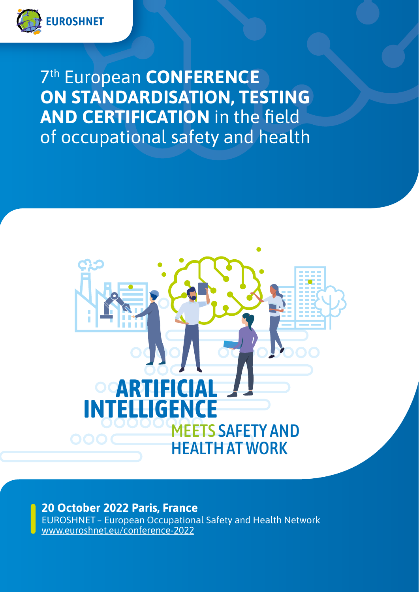

7th European **CONFERENCE ON STANDARDISATION, TESTING AND CERTIFICATION** in the field of occupational safety and health



**20 October 2022 Paris, France**

EUROSHNET – European Occupational Safety and Health Network www.euroshnet.eu/conference-2022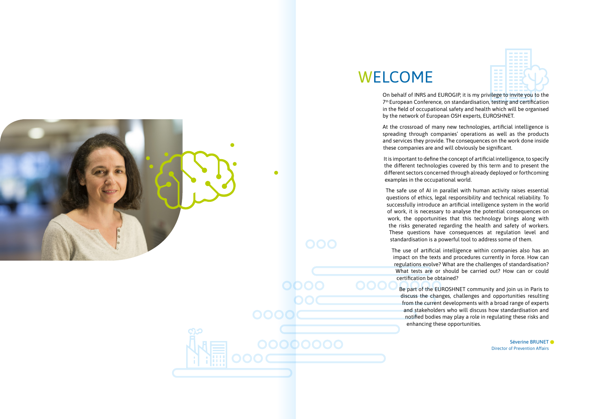On behalf of INRS and EUROGIP, it is my privilege to invite you to the 7<sup>th</sup> European Conference, on standardisation, testing and certification in the field of occupational safety and health which will be organised by the network of European OSH experts, EUROSHNET.

At the crossroad of many new technologies, artificial intelligence is spreading through companies' operations as well as the products and services they provide. The consequences on the work done inside these companies are and will obviously be significant.

It is important to define the concept of artificial intelligence, to specify the different technologies covered by this term and to present the different sectors concerned through already deployed or forthcoming examples in the occupational world.

The safe use of AI in parallel with human activity raises essential questions of ethics, legal responsibility and technical reliability. To successfully introduce an artificial intelligence system in the world of work, it is necessary to analyse the potential consequences on work, the opportunities that this technology brings along with the risks generated regarding the health and safety of workers. These questions have consequences at regulation level and standardisation is a powerful tool to address some of them.

The use of artificial intelligence within companies also has an impact on the texts and procedures currently in force. How can regulations evolve? What are the challenges of standardisation? What tests are or should be carried out? How can or could certification be obtained?

Be part of the EUROSHNET community and join us in Paris to discuss the changes, challenges and opportunities resulting from the current developments with a broad range of experts and stakeholders who will discuss how standardisation and notified bodies may play a role in regulating these risks and enhancing these opportunities.





Séverine BRUNET Director of Prevention Affairs

# WELCOME

00000000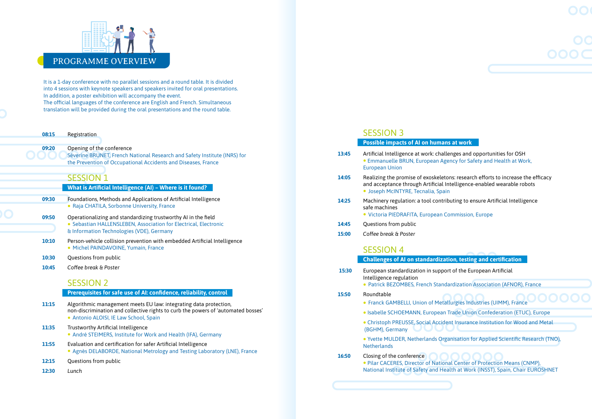

It is a 1-day conference with no parallel sessions and a round table. It is divided into 4 sessions with keynote speakers and speakers invited for oral presentations. In addition, a poster exhibition will accompany the event. The official languages of the conference are English and French. Simultaneous translation will be provided during the oral presentations and the round table.

**08:15** Registration

**09:20** Opening of the conference Séverine BRUNET, French National Research and Safety Institute (INRS) for the Prevention of Occupational Accidents and Diseases, France

## SESSION 1

 **What is Artificial Intelligence (AI) – Where is it found?**

- **09:30** Foundations, Methods and Applications of Artificial Intelligence • Raja CHATILA, Sorbonne University, France
- **09:50** Operationalizing and standardizing trustworthy AI in the field • Sebastian HALLENSLEBEN, Association for Electrical, Electronic & Information Technologies (VDE), Germany
- **10:10** Person-vehicle collision prevention with embedded Artificial Intelligence • Michel PAINDAVOINE, Yumain, France
- **10:30** Questions from public
- **10:45** *Coffee break & Poster*

## SESSION 2

### **Prerequisites for safe use of AI: confidence, reliability, control**

- **11:15** Algorithmic management meets EU law: integrating data protection, non-discrimination and collective rights to curb the powers of 'automated bosses' • Antonio ALOISI, IE Law School, Spain
- 11:35 Trustworthy Artificial Intelligence • André STEIMERS, Institute for Work and Health (IFA), Germany
- **11:55** Evaluation and certification for safer Artificial Intelligence • Agnès DELABORDE, National Metrology and Testing Laboratory (LNE), France
- **12:15** Questions from public
- **12:30** *Lunch*

# SESSION 3

|       | <b>Possible impacts of AI on humans at work</b>                                                                                                                                                  |  |
|-------|--------------------------------------------------------------------------------------------------------------------------------------------------------------------------------------------------|--|
| 13:45 | Artificial Intelligence at work: challenges and opportunities for OSH<br>• Emmanuelle BRUN, European Agency for Safety and Health at Work,<br><b>European Union</b>                              |  |
| 14:05 | Realizing the promise of exoskeletons: research efforts to increase the efficacy<br>and acceptance through Artificial Intelligence-enabled wearable robots<br>· Joseph McINTYRE, Tecnalia, Spain |  |
| 14:25 | Machinery regulation: a tool contributing to ensure Artificial Intelligence<br>safe machines<br>· Victoria PIEDRAFITA, European Commission, Europe                                               |  |
| 14:45 | Questions from public                                                                                                                                                                            |  |
| 15:00 | Coffee break & Poster                                                                                                                                                                            |  |

# SESSION 4

 **Challenges of AI on standardization, testing and certification**

ardization Association (AFNOR), France

**Ilurgies Industries (UIMM), France Trade Union Confederation (ETUC), Europe** ent Insurance Institution for Wood and Metal

anisation for Applied Scientific Research (TNO),

al Center of Protection Means (CNMP), alth at Work (INSST), Spain, Chair EUROSHNET

| 15:30 | European standardization in support of the European Artificial<br>Intelligence regulation                                                                      |  |
|-------|----------------------------------------------------------------------------------------------------------------------------------------------------------------|--|
|       | • Patrick BEZOMBES, French Standardization Association (AFN                                                                                                    |  |
| 15:50 | Roundtable<br>• Franck GAMBELLI, Union of Metallurgies Industries (UIMM), F                                                                                    |  |
|       | · Isabelle SCHOEMANN, European Trade Union Confederation                                                                                                       |  |
|       | • Christoph PREUSSE, Social Accident Insurance Institution for<br>(BGHM), Germany                                                                              |  |
|       | . Yvette MULDER, Netherlands Organisation for Applied Scient<br><b>Netherlands</b>                                                                             |  |
| 16:50 | Closing of the conference<br>. Pilar CACERES, Director of National Center of Protection Mea<br>National Institute of Safety and Health at Work (INSST), Spain, |  |
|       |                                                                                                                                                                |  |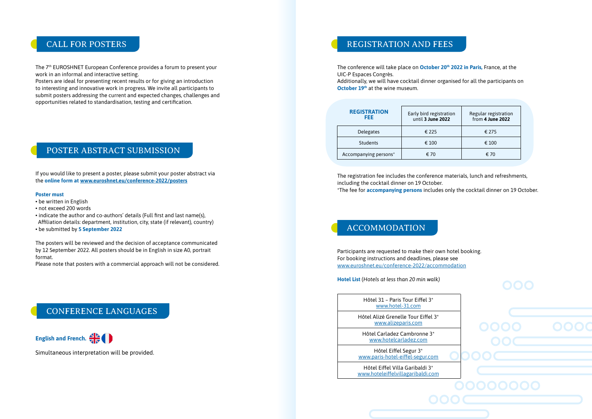# ACCOMMODATION

# CONFERENCE LANGUAGES

# POSTER ABSTRACT SUBMISSION

The 7<sup>th</sup> EUROSHNET European Conference provides a forum to present your work in an informal and interactive setting.

> Additionally, we will have cocktail dinner organised for all the participants on **October 19th** at the wine museum.

Posters are ideal for presenting recent results or for giving an introduction to interesting and innovative work in progress. We invite all participants to submit posters addressing the current and expected changes, challenges and opportunities related to standardisation, testing and certification.

The conference will take place on **October 20th 2022 in Paris,** France, at the UIC-P Espaces Congrès.

The registration fee includes the conference materials, lunch and refreshments, including the cocktail dinner on 19 October. \*The fee for **accompanying persons** includes only the cocktail dinner on 19 October.

Participants are requested to make their own hotel booking. For booking instructions and deadlines, please see www.euroshnet.eu/conference-2022/accommodation

**Hotel List** (*Hotels at less than 20 min walk)*



Simultaneous interpretation will be provided.

# CALL FOR POSTERS REGISTRATION AND FEES

If you would like to present a poster, please submit your poster abstract via the **online form at www.euroshnet.eu/conference-2022/posters**

#### **Poster must**

- be written in English
- not exceed 200 words
- indicate the author and co-authors' details (Full first and last name(s), Affiliation details: department, institution, city, state (if relevant), country)
- be submitted by **5 September 2022**

The posters will be reviewed and the decision of acceptance communicated by 12 September 2022. All posters should be in English in size A0, portrait format.

Please note that posters with a commercial approach will not be considered.

Hôtel 31 – Paris Tour Eiffel 3\* www.hotel-31.com

| <b>REGISTRATION</b><br>FEE. | Early bird registration<br>until 3 June 2022 | Regular registration<br>from 4 June 2022 |
|-----------------------------|----------------------------------------------|------------------------------------------|
| Delegates                   | € 225                                        | € 275                                    |
| <b>Students</b>             | € 100                                        | € 100                                    |
| Accompanying persons*       | € 70                                         | € 70                                     |

Hôtel Alizé Grenelle Tour Eiffel 3\* www.alizeparis.com

Hôtel Carladez Cambronne 3\* www.hotelcarladez.com

Hôtel Eiffel Segur 3\* www.paris-hotel-eiffel-segur.com

Hôtel Eiffel Villa Garibaldi 3\* www.hoteleiffelvillagaribaldi.com

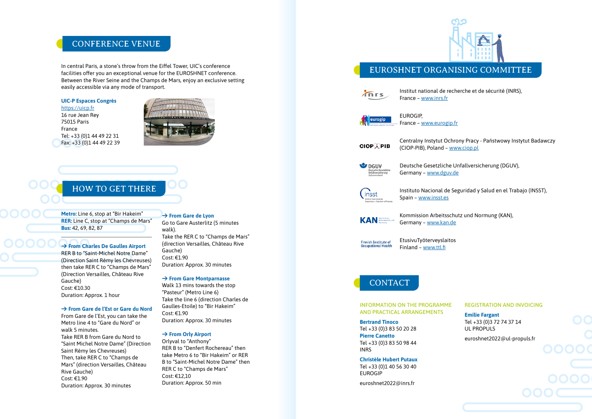# CONFERENCE VENUE

# HOW TO GET THERE

In central Paris, a stone's throw from the Eiffel Tower, UIC's conference facilities offer you an exceptional venue for the EUROSHNET conference. Between the River Seine and the Champs de Mars, enjoy an exclusive setting easily accessible via any mode of transport.

## **UIC-P Espaces Congrès**

#### https://uicp.fr

16 rue Jean Rey 75015 Paris France Tel: +33 (0)1 44 49 22 31 Fax: +33 (0)1 44 49 22 39



**Metro:** Line 6, stop at "Bir Hakeim" **RER:** Line C, stop at "Champs de Mars" **Bus:** 42, 69, 82, 87

 $\overline{\phantom{a}}$  , and the set of the set of the set of the set of the set of the set of the set of the set of the set of the set of the set of the set of the set of the set of the set of the set of the set of the set of the s

## **→ From Charles De Gaulles Airport**

RER B to "Saint-Michel Notre Dame" (Direction Saint Rémy les Chevreuses) then take RER C to "Champs de Mars" (Direction Versailles, Château Rive Gauche) Cost: €10.30 Duration: Approx. 1 hour

#### **→ From Gare de l'Est or Gare du Nord**

From Gare de l'Est, you can take the Metro line 4 to "Gare du Nord" or walk 5 minutes. Take RER B from Gare du Nord to "Saint Michel Notre Dame" (Direction Saint Rémy les Chevreuses) Then, take RER C to "Champs de Mars" (direction Versailles, Château Rive Gauche) Cost: €1.90 Duration: Approx. 30 minutes

## **→ From Gare de Lyon**

Go to Gare Austerlitz (5 minutes walk). Take the RER C to "Champs de Mars" (direction Versailles, Château Rive Gauche) Cost: €1.90 Duration: Approx. 30 minutes

#### **→ From Gare Montparnasse**

Walk 13 mins towards the stop "Pasteur" (Metro Line 6) Take the line 6 (direction Charles de Gaulles-Etoile) to "Bir Hakeim" Cost: €1.90 Duration: Approx. 30 minutes

#### **→ From Orly Airport**

Orlyval to "Anthony" RER B to "Denfert Rochereau" then take Metro 6 to "Bir Hakeim" or RER B to "Saint-Michel Notre Dame" then RER C to "Champs de Mars" Cost: €12,10 Duration: Approx. 50 min



Institut national de recherche et de sécurité (INRS), France – www.inrs.fr



France – www.eurogip.fr

**CIOPAPIB** 

Centralny Instytut Ochrony Pracy - Państwowy Instytut Badawczy (CIOP-PIB), Poland – www.ciop.pl

 $\bullet$  DGUV

# EUROGIP, eurogip Spain – www.insst.es

Deutsche Gesetzliche Unfallversicherung (DGUV), Germany – www.dguv.de



**KAN** 

Instituto Nacional de Seguridad y Salud en el Trabajo (INSST),

Kommission Arbeitsschutz und Normung (KAN), Germany – www.kan.de



EtusivuTyöterveyslaitos Finland – www.ttl.fi

# **CONTACT**

#### INFORMATION ON THE PROGRAMME AND PRACTICAL ARRANGEMENTS

#### **Bertrand Tinoco**

Tel +33 (0)3 83 50 20 28 **Pierre Canetto** Tel +33 (0)3 83 50 98 44 INRS

**Christèle Hubert Putaux** Tel +33 (0)1 40 56 30 40 EUROGIP

euroshnet2022@inrs.fr

 $\sqrt{n}$ rs

REGISTRATION AND INVOICING

**Emilie Fargant** Tel +33 (0)3 72 74 37 14 UL PROPULS

euroshnet2022@ul-propuls.fr